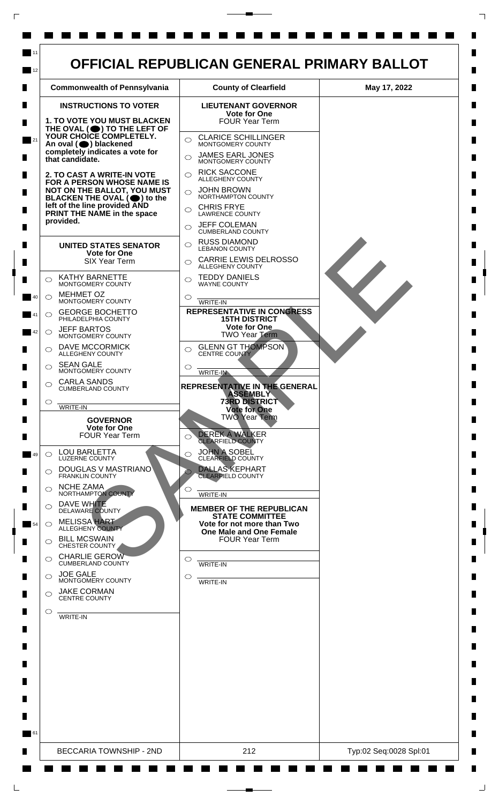

 $\Box$ 

 $\Box$